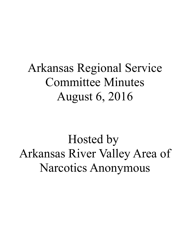# Arkansas Regional Service Committee Minutes August 6, 2016

Hosted by Arkansas River Valley Area of Narcotics Anonymous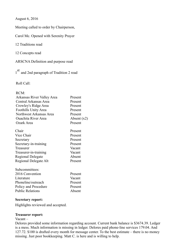August 6, 2016

Meeting called to order by Chairperson,

Carol Mc. Opened with Serenity Prayer

12 Traditions read

12 Concepts read

ARSCNA Definition and purpose read

1<sup>st</sup> and 2nd paragraph of Tradition 2 read

Roll Call:

| Arkansas River Valley Area | Present       |  |
|----------------------------|---------------|--|
| Central Arkansas Area      | Present       |  |
| Crowley's Ridge Area       | Present       |  |
| Foothills Unity Area       | Present       |  |
| Northwest Arkansas Area    | Present       |  |
| <b>Ouachita River Area</b> | Absent $(x2)$ |  |
| Ozark Area                 | Present       |  |
| Chair                      | Present       |  |
| Vice Chair                 | Present       |  |
| Secretary                  | Present       |  |
| Secretary-in-training      | Present       |  |
| Treasurer                  | Vacant        |  |
| Treasurer-in-training      | Vacant        |  |
| Regional Delegate          | Absent        |  |
| Regional Delegate Alt      | Present       |  |
| Subcommittees:             |               |  |
| 2016 Convention            | Present       |  |
| Literature                 | Vacant        |  |
| Phoneline/outreach         | Present       |  |
| Policy and Procedure       | Present       |  |
| <b>Public Relations</b>    | Absent        |  |

#### **Secretary report:**

Highlights reviewed and accepted.

#### **Treasurer report:**

Vacant –

Delores provided some information regarding account. Current bank balance is \$3674.39. Ledger is a mess. Much information is missing in ledger. Delores paid phone-line services 179.04. And 127.72. \$100 is drafted every month for message center. To the best estimate – there is no money missing. Just poor bookkeeping. Matt C. is here and is willing to help.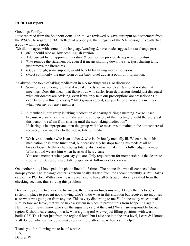# **RD/RD alt report**

Greetings Family,

I just returned from the Southern Zonal Forum. We reviewed  $\&$  gave our input on a statement from the WSC2016 regarding NA intellectual property & the integrity of the NA message. I've attached a copy with my report.

We did not agree with some of the language/wording & have made suggestions to change parts.

- 1. 86% should read as, low cost English version.
- 2. Add current list of approved literature & position on previously approved literature.
- 3. 71% remove the statement of; even if it means shutting down the site. (just chasing tails, just remove the literature)
- 4. 63% although, some support, would benefit by having more discussion.
- 5. (Most commonly, the gray form or the baby blue) add as a point of information.

As always, the topic of taking medication in NA meetings was also discussed.

- 1. Some of us are being told that if we take meds we are not clean  $\&$  should not share at meetings. Does this mean that those of us who suffer from depression should just disregard what our doctors are advising, even if we only take our prescriptions are prescribed? Do I even belong in this fellowship? All 3 groups agreed, yes you belong. You are a member when you say you are a member!
- 2. A member in our group is taking medication  $\&$  sharing during a meeting. We're upset because we are afraid this will disrupt the atmosphere of the meeting. Should the group ask this person to refrain from sharing until the stop taking medication? If sharing is in appropriate, then the group will take measures to maintain the atmosphere of recovery. Take member to the side & talk to him/her.
- 3. We have a member who is an addict  $&$  who is obviously mentally ill. When he is on his medication he is quite functional, but occasionally he stops taking his meds  $\&$  all hell breaks loose. He thinks he's being totally abstinent will make him a full-fledged member. What should we ask him when he asks if he's clean? You are a member when you say you are. Only requirement for membership is the desire to stop using. Be responsible, talk to sponsor & follow doctors' orders.

On another note, I have paid the phone line bill, 2 times. The phone line was disconnected due to non-payment. The Message center is automatically drafted from the account monthly  $\&$  Pat P takes care of the PO Box. With a new treasure we need to have all bills automatically drafted from the checking account, thus solving this problem.

Dyanne helped me to check the balance & there was no funds missing! I know there's to be a system in place to prevent not knowing who's to do what in this situation but received no inquiries as to what was going on from anyone. This is very disturbing to me!!!! I hope today we can make sure, before we leave, that we do have a system in place to prevent this from happening again. Hell, we don't even know who's on the signature card at the bank! We all are responsible for our region & should care enough to ask, what's going on! Are we just filling positions with warm bodies???? This is not just from the regional level but I also see it at the area level, I care & I know y'all do too, what can we do to make service more attractive & how can I help?

Thank-you for allowing me to be of service, ILS, Delores W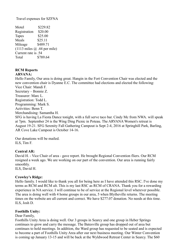Travel expenses for SZFNA

Motel \$229.82 Registration \$20.00 Tapes \$25.00 Meals \$25.11 Mileage \$489.71  $(1113 \text{ miles } @.44 \text{ per mile})$ Current rate is .54 Total \$789.64

# **RCM Reports ARVANA:**

Hello Family, Our area is doing great. Hangin in the Fort Convention Chair was elected and the new convention chair is Dyanne E.C. The committee had elections and elected the following: Vice Chair: Mandi F. Secretary – Bonnie Z. Treasurer: Marc L. Registration: Todd L. Programming: Mark S. Activities: Benn T. Merchandising: Samantha H. SFG is having La Fiesta Dance tonight, with a full serve taco bar. Cindy Mc from NWA. will speak at 7pm. September 24 is the Wing Ding Picnic in Poteau. The ARVANA Women's retreat is

August 19-21. SFG Serenity Fall Gathering Campout is Sept 2-4, 2016 at Springhill Park, Barling, AR Cove Lake Campout is October 14-16.

Our donations will be mailed. ILS, Tim F.

# **Central AR:**

David H. - Vice Chair of area - gave report. He brought Regional Convention fliers. Our RCM resigned a week ago. We are working on our part of the convention. Our area is running fairly smoothly.

ILS, David H.

#### **Crowley's Ridge:**

Hello family. I would like to thank you all for being here as I have attended this RSC. I've done my terms as RCM and RCM alt. This is my last RSC as RCM of CRANA. Thank you for a rewarding experience in NA service. I will continue to be of service at the Regional level wherever possible. The area is doing well with 4 home groups in our area, 5 when Blytheville returns. The meeting times on the website are all current and correct. We have \$277.07 donation. No needs at this time. ILS, Josh D.

#### **Foothills Unity:**

#### Dear Family,

Foothills Unity Area is doing well. Our 3 groups in Searcy and one group in Heber Springs continues to grow and carry the message. The Batesville group has dropped out of area but continues to hold meetings. In addition, the Ward group has requested to be seated and is expected to become a part of Foothills Unity Area after our next business meeting. Our Winter Convention is coming up January 13-15 and will be back at the Wyldwood Retreat Center in Searcy. The \$60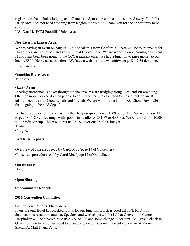registration fee includes lodging and all meals and, of course, no addict is turned away. Foothills Unity Area does not need anything from Region at this time. Thank you for the opportunity to be of service.

ILS, Dan M. RCM Foothills Unity Area

#### **Northwest Arkansas Area:**

We are having an event on August 13 the speaker is from California. There will be tournaments for Horseshoes and volleyball and swimming at Beaver Lake. We are working on a learning day event. H and I has been been going to the CCC treatment enter. We had a function to raise money to buy books. \$800. No needs at this time. We have a website – www.naofnwa.org. \$442.36 donation.

ILS, Karen S.

#### **Ouachita River Area:**

 $3<sup>rd</sup>$  absence.

#### **Ozark Area:**

Meeting attendance is down throughout the area. We are trudging along. H&I and PR are doing OK with more work to do than people to do it. The early release facility closed, but we are still taking meetings into 2 county jails and 1 rehab. We are working on Chili Dog Chow Down #26 that is going to be held Sept. 2-4.

We have 3 quotes for tie die T-shirts the cheapest quote being 1500.00 for 150. We would also like to get 48 11 Oz coffee mugs with spoons in handle for 231.87 or 4.83 Per. We would sell for 10.00, 5.17 profit per cup. This would put us 231.87 over our 1500.00 budget. Thanx, Craig B.

#### **End RCM reports**

Overview of consensus read by Carol Mc . (page 14 of Guidelines) Consensus procedure read by Carol Mc. (page 15 of Guidelines)

**Old business** – None

**Open Sharing:**

#### **Subcommittee Reports:**

#### **2016 Convention Committee**

See Previous Reports. Fliers are out.

Fliers are out. Hotel has blocked rooms for our function. Block is good till 10/1/16. All of downstairs is restaurant and bar. Speakers and workshops will be held at Convention Center. Hospitality will be covered by ARVANA. \$4700 and some change in account. Will give a check to Ozark for merchandise. We need to change signers on account. Current signers are Anthony C. Sheran A, Matt F. and Pat P.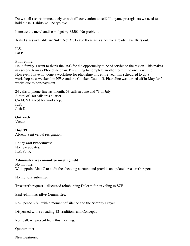Do we sell t-shirts immediately or wait till convention to sell? If anyone preregisters we need to hold those. T-shirts will be tye-dye.

Increase the merchandise budget by \$250? No problem.

T-shirt sizes available are S-4x. Not 3x. Leave fliers as is since we already have fliers out.

ILS, Pat P.

# **Phone-line:**

Hello family. I want to thank the RSC for the opportunity to be of service to the region. This makes my second term as Phoneline chair. I'm willing to complete another term if no one is willing. However, I have not done a workshop for phoneline this entire year. I'm scheduled to do a workshop next weekend in NWA and the Chicken Cook-off. Phoneline was turned off in May for 3 weeks due to non-payment.

24 calls to phone-line last month. 63 calls in June and 73 in July. A total of 180 calls this quarter. CAACNA asked for workshop. ILS, Josh D.

**Outreach:** Vacant

**H&I/PI** Absent. Sent verbal resignation

# **Policy and Procedures:**

No new updates. ILS, Pat P.

#### **Administrative committee meeting held.**

No motions. Will appoint Matt C to audit the checking account and provide an updated treasurer's report.

No motions submitted.

Treasurer's request – discussed reimbursing Delores for traveling to SZF.

# **End Administrative Committee.**

Re-Opened RSC with a moment of silence and the Serenity Prayer.

Dispensed with re-reading 12 Traditions and Concepts.

Roll call. All present from this morning.

Quorum met.

#### **New Business:**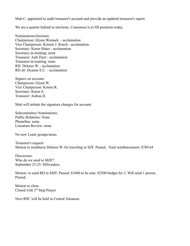Matt C. appointed to audit treasurer's account and provide an updated treasurer's report.

We are a quarter behind in elections. Consensus is to fill positions today.

Nominations/elections: Chairperson: Glynn Womack - acclamation Vice Chairperson: Kristen J. Roach - acclamation. Secretary: Karen Slater - acclamation Secretary-in-training: none Treasurer: Josh Dyer - acclamation Treasurer-in-training: none RD: Delores W. - acclamation RD alt: Dyanne E.C. - acclamation

Signers on account: Chairperson: Glynn W. Vice Chairperson: Kristie R. Secretary: Karen S. Treasurer: Joshua D.

Matt will initiate the signature changes for account.

Subcommittee Nominations: Public Relations: None Phoneline: none Literature Review: none

No new Loner groups/areas.

Treasurer's request: Motion to reimburse Delores W. for traveling to SZF. Passed. Total reimbursement: \$789.64

Discussion: Who do we send to MZF? September 23-25. Milwaukee.

Motion: to send RD to MZF. Passed. \$1000 to be sent. \$2500 budget for 2. Will send 1 person. Passed.

Motion to close. Closed with 3rd Step Prayer

Next RSC will be held in Central Arkansas.